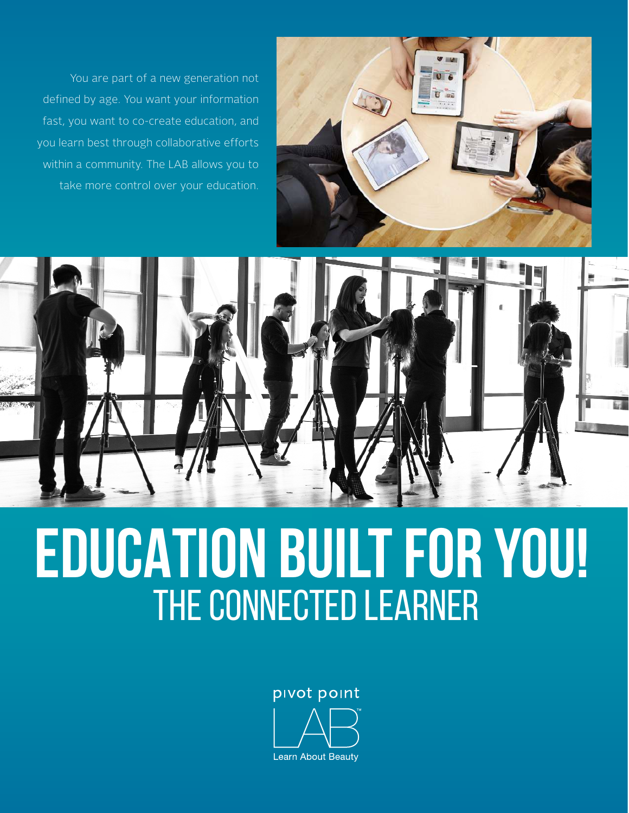You are part of a new generation not defined by age. You want your information fast, you want to co-create education, and you learn best through collaborative efforts within a community. The LAB allows you to take more control over your education.





# **EDUCATION BUILT FOR YOU!** THE CONNECTED LEARNER